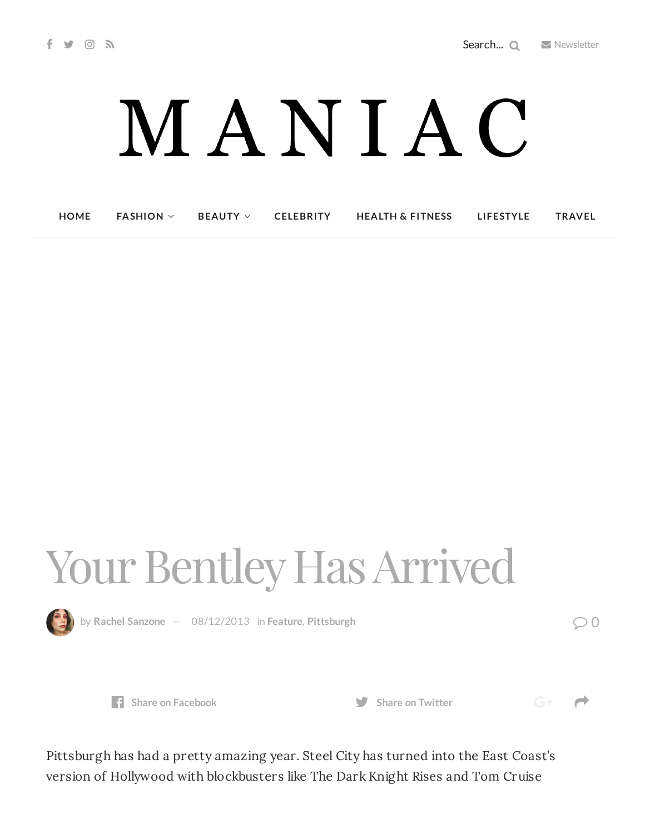## MANIAC

**[HOME](http://maniacmagazine.com/) [FASHION](http://maniacmagazine.com/fashion/) [BEAUTY](http://maniacmagazine.com/beauty/) [CELEBRITY](http://maniacmagazine.com/celebrity/) HEALTH & [FITNESS](http://maniacmagazine.com/beauty/health-and-fitness/) [LIFESTYLE](http://maniacmagazine.com/lifestyle/) [TRAVEL](http://maniacmagazine.com/life/travel/)**

## Your Bentley Has Arrived



by **Rachel [Sanzone](http://maniacmagazine.com/author/rachel/)** — [08/12/2013](http://maniacmagazine.com/locations/pittsburgh/your-bentley-has-arrived/) in **[Feature](http://maniacmagazine.com/feature/)**, **[Pittsburgh](http://maniacmagazine.com/locations/pittsburgh/)** 0



 $G^+$   $\rightarrow$ 

Pittsburgh has had a pretty amazing year. Steel City has turned into the East Coast's version of Hollywood with blockbusters like The Dark Knight Rises and Tom Cruise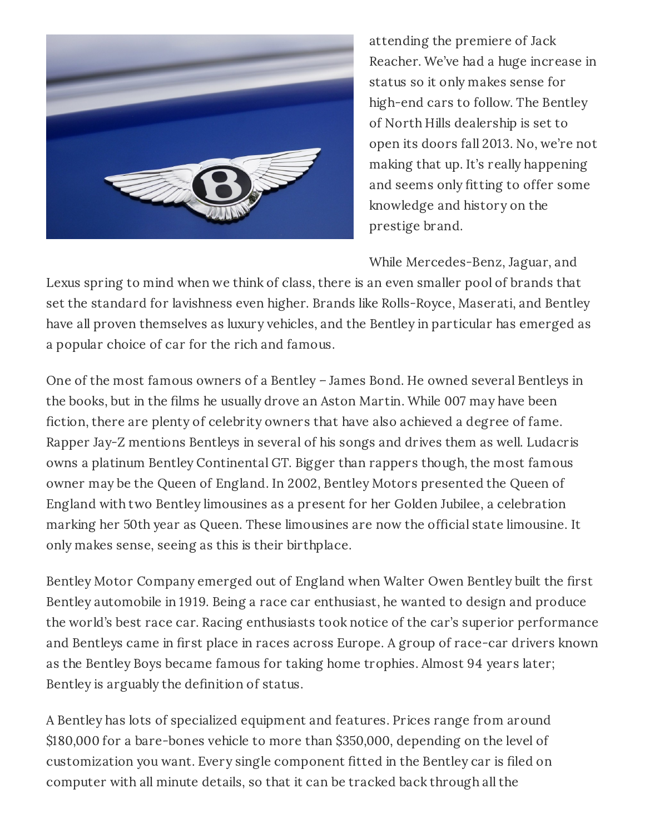

attending the premiere of Jack Reacher. We've had a huge increase in status so it only makes sense for high-end cars to follow. The Bentley of North Hills dealership is set to open its doors fall 2013. No, we're not making that up. It's really happening and seems only fitting to offer some knowledge and history on the prestige brand.

While Mercedes-Benz, Jaguar, and

Lexus spring to mind when we think of class, there is an even smaller pool of brands that set the standard for lavishness even higher. Brands like Rolls-Royce, Maserati, and Bentley have all proven themselves as luxury vehicles, and the Bentley in particular has emerged as a popular choice of car for the rich and famous.

One of the most famous owners of a Bentley – James Bond. He owned several Bentleys in the books, but in the films he usually drove an Aston Martin. While 007 may have been fiction, there are plenty of celebrity owners that have also achieved a degree of fame. Rapper Jay-Z mentions Bentleys in several of his songs and drives them as well. Ludacris owns a platinum Bentley Continental GT. Bigger than rappers though, the most famous owner may be the Queen of England. In 2002, Bentley Motors presented the Queen of England with two Bentley limousines as a present for her Golden Jubilee, a celebration marking her 50th year as Queen. These limousines are now the official state limousine. It only makes sense, seeing as this is their birthplace.

Bentley Motor Company emerged out of England when Walter Owen Bentley built the first Bentley automobile in 1919. Being a race car enthusiast, he wanted to design and produce the world's best race car. Racing enthusiasts took notice of the car's superior performance and Bentleys came in first place in races across Europe. A group of race-car drivers known as the Bentley Boys became famous for taking home trophies. Almost 94 years later; Bentley is arguably the definition of status.

A Bentley has lots of specialized equipment and features. Prices range from around \$180,000 for a bare-bones vehicle to more than \$350,000, depending on the level of customization you want. Every single component fitted in the Bentley car is filed on computer with all minute details, so that it can be tracked back through all the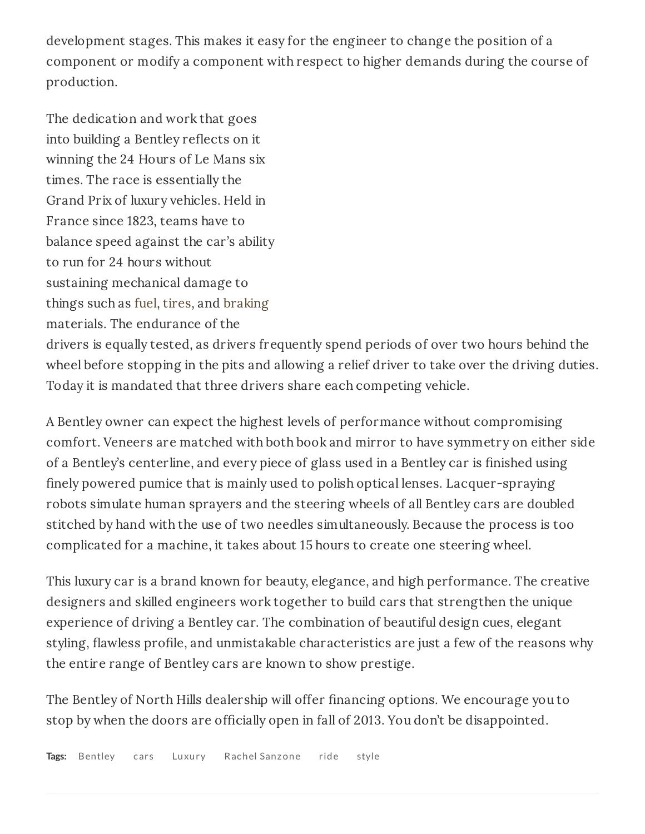development stages. This makes it easy for the engineer to change the position of a component or modify a component with respect to higher demands during the course of production.

The dedication and work that goes into building a Bentley reflects on it winning the 24 Hours of Le Mans six times. The race is essentially the Grand Prix of luxury vehicles. Held in France since 1823, teams have to balance speed against the car's ability to run for 24 hours without sustaining mechanical damage to things such as [fuel](http://en.wikipedia.org/wiki/Fuel), [tires,](http://en.wikipedia.org/wiki/Tire) and [braking](http://en.wikipedia.org/wiki/Braking) materials. The endurance of the drivers is equally tested, as drivers frequently spend periods of over two hours behind the wheel before stopping in the pits and allowing a relief driver to take over the driving duties. Today it is mandated that three drivers share each competing vehicle.

A Bentley owner can expect the highest levels of performance without compromising comfort. Veneers are matched with both book and mirror to have symmetry on either side of a Bentley's centerline, and every piece of glass used in a Bentley car is finished using finely powered pumice that is mainly used to polish optical lenses. Lacquer-spraying robots simulate human sprayers and the steering wheels of all Bentley cars are doubled stitched by hand with the use of two needles simultaneously. Because the process is too complicated for a machine, it takes about 15 hours to create one steering wheel.

This luxury car is a brand known for beauty, elegance, and high performance. The creative designers and skilled engineers work together to build cars that strengthen the unique experience of driving a Bentley car. The combination of beautiful design cues, elegant styling, flawless profile, and unmistakable characteristics are just a few of the reasons why the entire range of Bentley cars are known to show prestige.

The Bentley of North Hills dealership will offer financing options. We encourage you to stop by when the doors are officially open in fall of 2013. You don't be disappointed.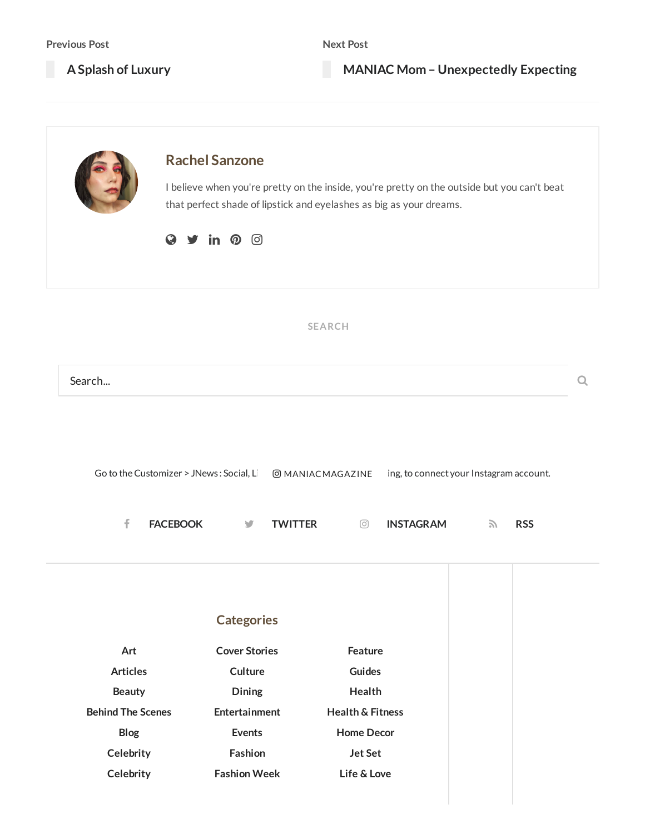**A Splash of [Luxury](http://maniacmagazine.com/articles/a-splash-of-luxury/)**

**MANIAC Mom – [Unexpectedly](http://maniacmagazine.com/locations/pittsburgh/maniac-mom-unexpectedly-expecting/) Expecting**

|                          | <b>Rachel Sanzone</b><br>$\mathsf{in} \; \; \mathsf{\Omega} \; \; \circledcirc$ | I believe when you're pretty on the inside, you're pretty on the outside but you can't beat<br>that perfect shade of lipstick and eyelashes as big as your dreams. |                                         |  |
|--------------------------|---------------------------------------------------------------------------------|--------------------------------------------------------------------------------------------------------------------------------------------------------------------|-----------------------------------------|--|
|                          |                                                                                 | <b>SEARCH</b>                                                                                                                                                      |                                         |  |
| Search                   |                                                                                 |                                                                                                                                                                    |                                         |  |
|                          | Go to the Customizer > JNews: Social, Li                                        | <b>@MANIACMAGAZINE</b>                                                                                                                                             | ing, to connect your Instagram account. |  |
| f                        | <b>FACEBOOK</b><br><b>TWITTER</b><br>y                                          | <b>INSTAGRAM</b><br>⊙                                                                                                                                              | <b>RSS</b><br>$\sum$                    |  |
|                          | <b>Categories</b>                                                               |                                                                                                                                                                    |                                         |  |
| Art                      | <b>Cover Stories</b>                                                            | Feature                                                                                                                                                            |                                         |  |
| <b>Articles</b>          | Culture                                                                         | <b>Guides</b>                                                                                                                                                      |                                         |  |
| <b>Beauty</b>            | Dining                                                                          | Health                                                                                                                                                             |                                         |  |
| <b>Behind The Scenes</b> | Entertainment                                                                   | <b>Health &amp; Fitness</b>                                                                                                                                        |                                         |  |
| Blog                     | <b>Events</b>                                                                   | <b>Home Decor</b>                                                                                                                                                  |                                         |  |
| Celebrity                | Fashion                                                                         | <b>Jet Set</b>                                                                                                                                                     |                                         |  |